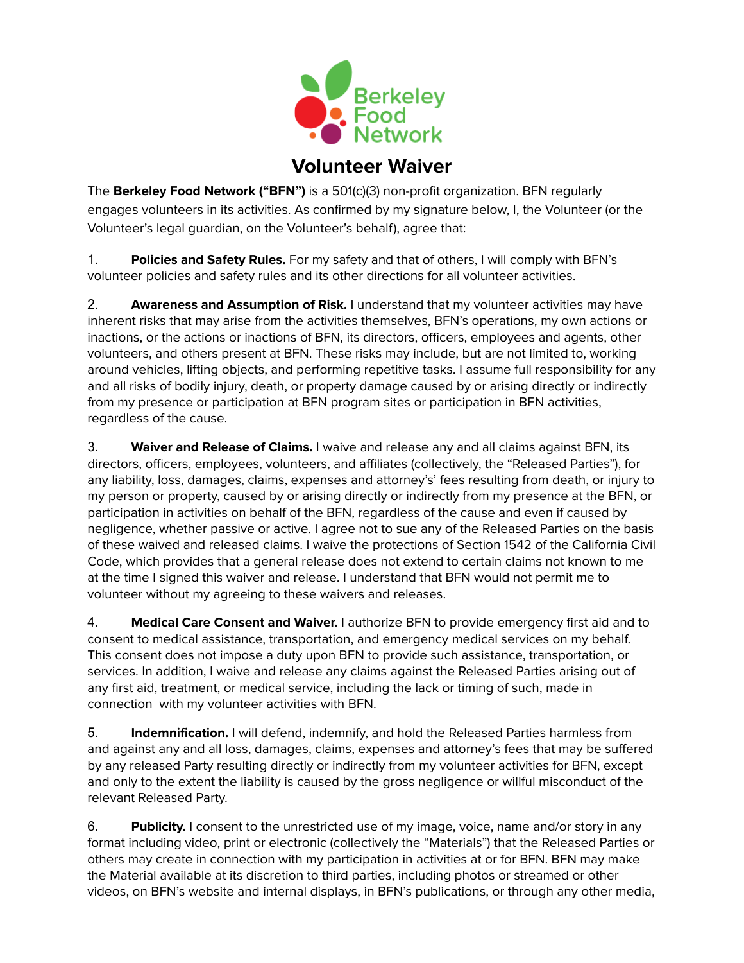

## **Volunteer Waiver**

The **Berkeley Food Network ("BFN")** is a 501(c)(3) non-profit organization. BFN regularly engages volunteers in its activities. As confirmed by my signature below, I, the Volunteer (or the Volunteer's legal guardian, on the Volunteer's behalf), agree that:

1. **Policies and Safety Rules.** For my safety and that of others, I will comply with BFN's volunteer policies and safety rules and its other directions for all volunteer activities.

2. **Awareness and Assumption of Risk.** I understand that my volunteer activities may have inherent risks that may arise from the activities themselves, BFN's operations, my own actions or inactions, or the actions or inactions of BFN, its directors, officers, employees and agents, other volunteers, and others present at BFN. These risks may include, but are not limited to, working around vehicles, lifting objects, and performing repetitive tasks. I assume full responsibility for any and all risks of bodily injury, death, or property damage caused by or arising directly or indirectly from my presence or participation at BFN program sites or participation in BFN activities, regardless of the cause.

3. **Waiver and Release of Claims.** I waive and release any and all claims against BFN, its directors, officers, employees, volunteers, and affiliates (collectively, the "Released Parties"), for any liability, loss, damages, claims, expenses and attorney's' fees resulting from death, or injury to my person or property, caused by or arising directly or indirectly from my presence at the BFN, or participation in activities on behalf of the BFN, regardless of the cause and even if caused by negligence, whether passive or active. I agree not to sue any of the Released Parties on the basis of these waived and released claims. I waive the protections of Section 1542 of the California Civil Code, which provides that a general release does not extend to certain claims not known to me at the time I signed this waiver and release. I understand that BFN would not permit me to volunteer without my agreeing to these waivers and releases.

4. **Medical Care Consent and Waiver.** I authorize BFN to provide emergency first aid and to consent to medical assistance, transportation, and emergency medical services on my behalf. This consent does not impose a duty upon BFN to provide such assistance, transportation, or services. In addition, I waive and release any claims against the Released Parties arising out of any first aid, treatment, or medical service, including the lack or timing of such, made in connection with my volunteer activities with BFN.

5. **Indemnification.** I will defend, indemnify, and hold the Released Parties harmless from and against any and all loss, damages, claims, expenses and attorney's fees that may be suffered by any released Party resulting directly or indirectly from my volunteer activities for BFN, except and only to the extent the liability is caused by the gross negligence or willful misconduct of the relevant Released Party.

6. **Publicity.** I consent to the unrestricted use of my image, voice, name and/or story in any format including video, print or electronic (collectively the "Materials") that the Released Parties or others may create in connection with my participation in activities at or for BFN. BFN may make the Material available at its discretion to third parties, including photos or streamed or other videos, on BFN's website and internal displays, in BFN's publications, or through any other media,